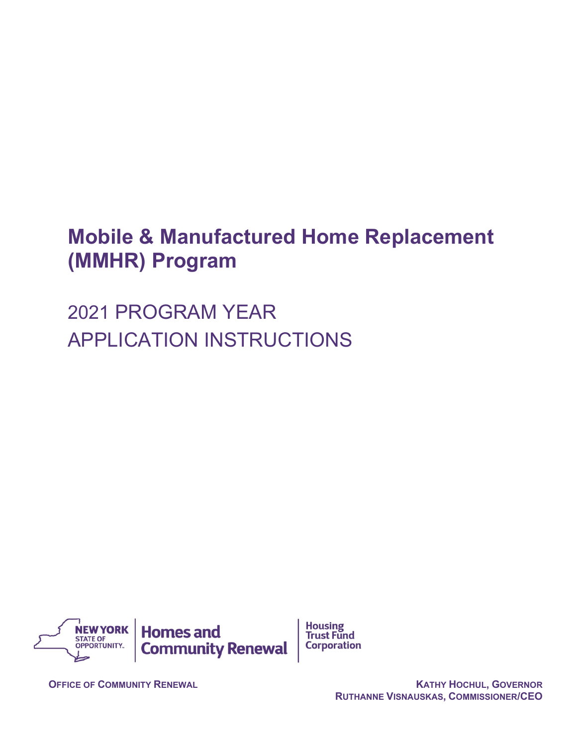## **Mobile & Manufactured Home Replacement (MMHR) Program**

**Housing** 

**Trust Fund** 

**Corporation** 

2021 PROGRAM YEAR APPLICATION INSTRUCTIONS



**OFFICE OF COMMUNITY RENEWAL KATHY HOCHUL, GOVERNOR RUTHANNE VISNAUSKAS, COMMISSIONER/CEO**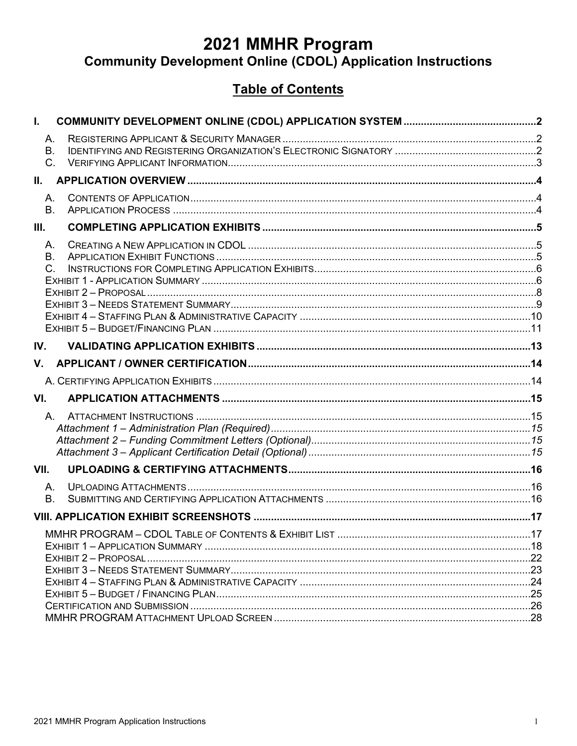# 2021 MMHR Program<br>Community Development Online (CDOL) Application Instructions

### **Table of Contents**

| I.                 |  |
|--------------------|--|
| Α.                 |  |
| B.                 |  |
| $C_{\cdot}$        |  |
| II.                |  |
| Α.<br>B.           |  |
|                    |  |
| Ш.                 |  |
| A.                 |  |
| <b>B.</b><br>$C$ . |  |
|                    |  |
|                    |  |
|                    |  |
|                    |  |
|                    |  |
| IV.                |  |
| V.                 |  |
|                    |  |
| VI.                |  |
| А.                 |  |
|                    |  |
|                    |  |
|                    |  |
| VII.               |  |
| А.                 |  |
| <b>B.</b>          |  |
|                    |  |
|                    |  |
|                    |  |
|                    |  |
|                    |  |
|                    |  |
|                    |  |
|                    |  |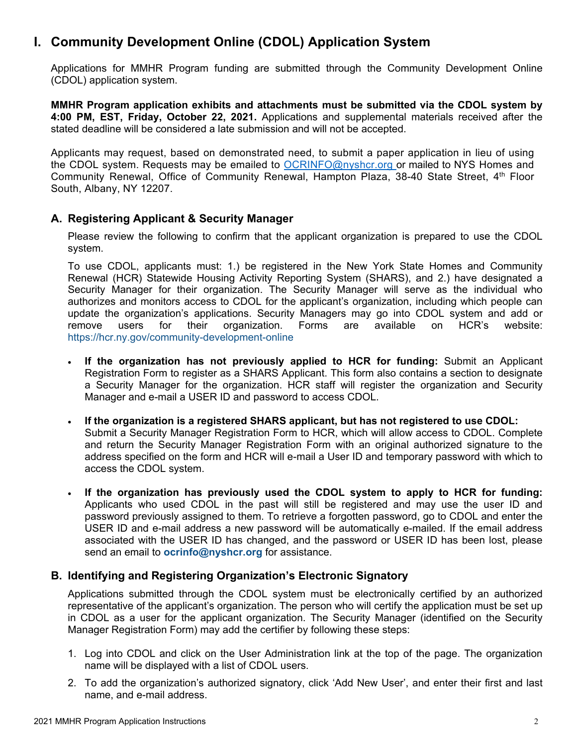### <span id="page-2-0"></span>**I. Community Development Online (CDOL) Application System**

Applications for MMHR Program funding are submitted through the Community Development Online (CDOL) application system.

**MMHR Program application exhibits and attachments must be submitted via the CDOL system by 4:00 PM, EST, Friday, October 22, 2021.** Applications and supplemental materials received after the stated deadline will be considered a late submission and will not be accepted.

Applicants may request, based on demonstrated need, to submit a paper application in lieu of using the CDOL system. Requests may be emailed to [OCRINFO@nyshcr.org](mailto:nyshcr.sm.ocrinfo%20%3cocrinfo@nyshcr.org%3e) or mailed to NYS Homes and Community Renewal, Office of Community Renewal, Hampton Plaza, 38-40 State Street, 4th Floor South, Albany, NY 12207.

### <span id="page-2-1"></span>**A. Registering Applicant & Security Manager**

Please review the following to confirm that the applicant organization is prepared to use the CDOL system.

To use CDOL, applicants must: 1.) be registered in the New York State Homes and Community Renewal (HCR) Statewide Housing Activity Reporting System (SHARS), and 2.) have designated a Security Manager for their organization. The Security Manager will serve as the individual who authorizes and monitors access to CDOL for the applicant's organization, including which people can update the organization's applications. Security Managers may go into CDOL system and add or remove users for their organization. Forms are available on HCR's website: <https://hcr.ny.gov/community-development-online>

- **If the organization has not previously applied to HCR for funding:** Submit an Applicant Registration Form to register as a SHARS Applicant. This form also contains a section to designate a Security Manager for the organization. HCR staff will register the organization and Security Manager and e-mail a USER ID and password to access CDOL.
- **If the organization is a registered SHARS applicant, but has not registered to use CDOL:** Submit a Security Manager Registration Form to HCR, which will allow access to CDOL. Complete and return the Security Manager Registration Form with an original authorized signature to the address specified on the form and HCR will e-mail a User ID and temporary password with which to access the CDOL system.
- **If the organization has previously used the CDOL system to apply to HCR for funding:** Applicants who used CDOL in the past will still be registered and may use the user ID and password previously assigned to them. To retrieve a forgotten password, go to CDOL and enter the USER ID and e-mail address a new password will be automatically e-mailed. If the email address associated with the USER ID has changed, and the password or USER ID has been lost, please send an email to **[ocrinfo@nyshcr.org](mailto:ocrinfo@nyshcr.org)** for assistance.

### <span id="page-2-2"></span>**B. Identifying and Registering Organization's Electronic Signatory**

Applications submitted through the CDOL system must be electronically certified by an authorized representative of the applicant's organization. The person who will certify the application must be set up in CDOL as a user for the applicant organization. The Security Manager (identified on the Security Manager Registration Form) may add the certifier by following these steps:

- 1. Log into CDOL and click on the User Administration link at the top of the page. The organization name will be displayed with a list of CDOL users.
- 2. To add the organization's authorized signatory, click 'Add New User', and enter their first and last name, and e-mail address.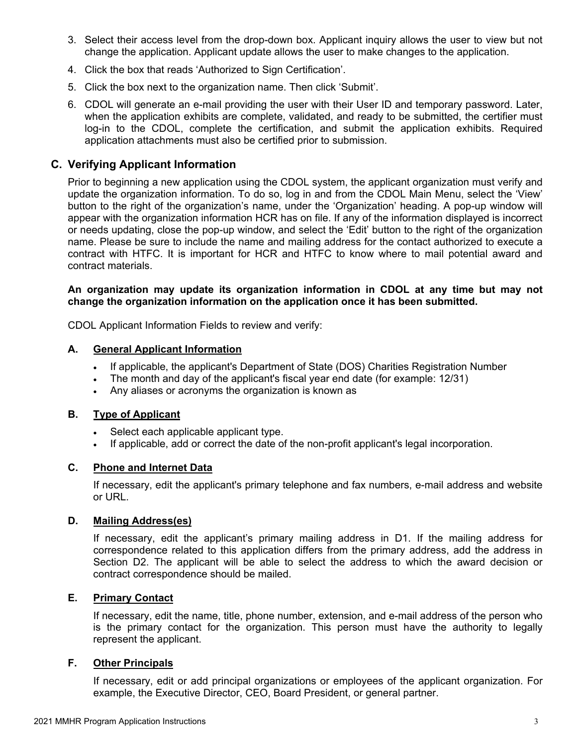- 3. Select their access level from the drop-down box. Applicant inquiry allows the user to view but not change the application. Applicant update allows the user to make changes to the application.
- 4. Click the box that reads 'Authorized to Sign Certification'.
- 5. Click the box next to the organization name. Then click 'Submit'.
- 6. CDOL will generate an e-mail providing the user with their User ID and temporary password. Later, when the application exhibits are complete, validated, and ready to be submitted, the certifier must log-in to the CDOL, complete the certification, and submit the application exhibits. Required application attachments must also be certified prior to submission.

### <span id="page-3-0"></span>**C. Verifying Applicant Information**

Prior to beginning a new application using the CDOL system, the applicant organization must verify and update the organization information. To do so, log in and from the CDOL Main Menu, select the 'View' button to the right of the organization's name, under the 'Organization' heading. A pop-up window will appear with the organization information HCR has on file. If any of the information displayed is incorrect or needs updating, close the pop-up window, and select the 'Edit' button to the right of the organization name. Please be sure to include the name and mailing address for the contact authorized to execute a contract with HTFC. It is important for HCR and HTFC to know where to mail potential award and contract materials.

### **An organization may update its organization information in CDOL at any time but may not change the organization information on the application once it has been submitted.**

CDOL Applicant Information Fields to review and verify:

#### **A. General Applicant Information**

- If applicable, the applicant's Department of State (DOS) Charities Registration Number
- The month and day of the applicant's fiscal year end date (for example: 12/31)
- Any aliases or acronyms the organization is known as

### **B. Type of Applicant**

- Select each applicable applicant type.
- If applicable, add or correct the date of the non-profit applicant's legal incorporation.

### **C. Phone and Internet Data**

If necessary, edit the applicant's primary telephone and fax numbers, e-mail address and website or URL.

### **D. Mailing Address(es)**

If necessary, edit the applicant's primary mailing address in D1. If the mailing address for correspondence related to this application differs from the primary address, add the address in Section D2. The applicant will be able to select the address to which the award decision or contract correspondence should be mailed.

### **E. Primary Contact**

If necessary, edit the name, title, phone number, extension, and e-mail address of the person who is the primary contact for the organization. This person must have the authority to legally represent the applicant.

### **F. Other Principals**

If necessary, edit or add principal organizations or employees of the applicant organization. For example, the Executive Director, CEO, Board President, or general partner.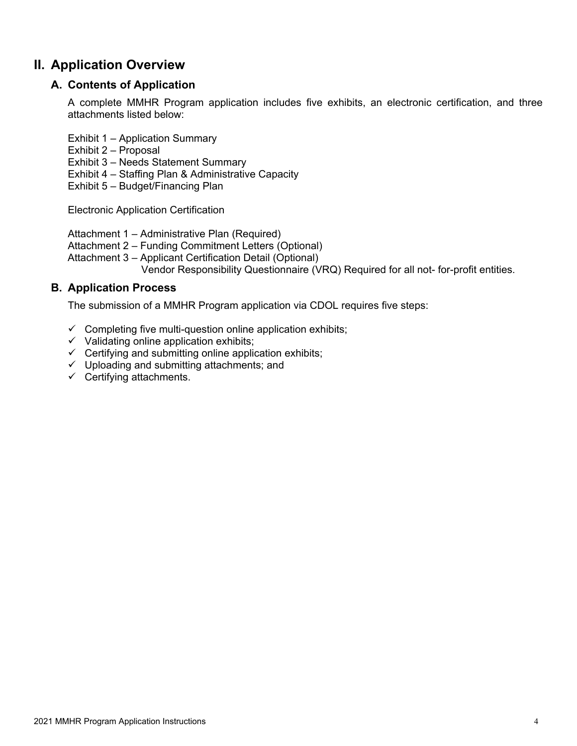### <span id="page-4-1"></span><span id="page-4-0"></span>**II. Application Overview**

### **A. Contents of Application**

A complete MMHR Program application includes five exhibits, an electronic certification, and three attachments listed below:

Exhibit 1 – Application Summary

- Exhibit 2 Proposal
- Exhibit 3 Needs Statement Summary
- Exhibit 4 Staffing Plan & Administrative Capacity

Exhibit 5 – Budget/Financing Plan

Electronic Application Certification

Attachment 1 – Administrative Plan (Required)

Attachment 2 – Funding Commitment Letters (Optional)

Attachment 3 – Applicant Certification Detail (Optional)

Vendor Responsibility Questionnaire (VRQ) Required for all not- for-profit entities.

### <span id="page-4-2"></span>**B. Application Process**

The submission of a MMHR Program application via CDOL requires five steps:

- $\checkmark$  Completing five multi-question online application exhibits;
- $\checkmark$  Validating online application exhibits;
- $\checkmark$  Certifying and submitting online application exhibits;
- $\checkmark$  Uploading and submitting attachments; and
- $\checkmark$  Certifying attachments.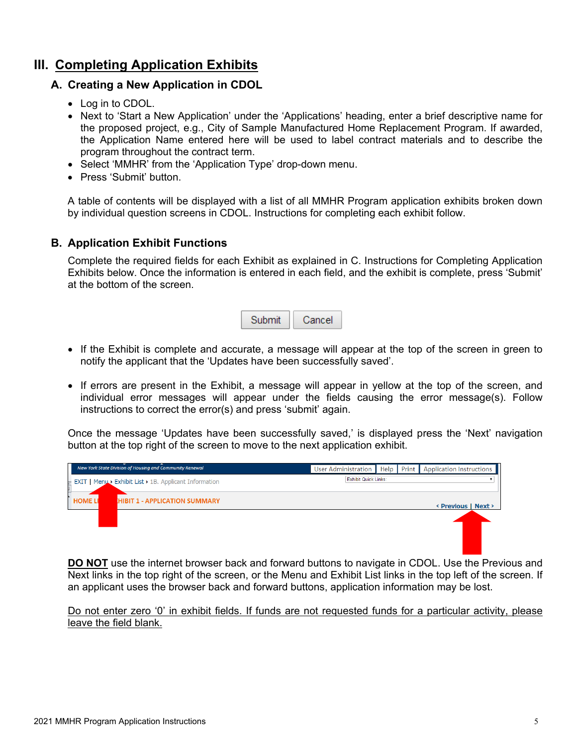### <span id="page-5-1"></span><span id="page-5-0"></span>**III. Completing Application Exhibits**

### **A. Creating a New Application in CDOL**

- Log in to CDOL.
- Next to 'Start a New Application' under the 'Applications' heading, enter a brief descriptive name for the proposed project, e.g., City of Sample Manufactured Home Replacement Program. If awarded, the Application Name entered here will be used to label contract materials and to describe the program throughout the contract term.
- Select 'MMHR' from the 'Application Type' drop-down menu.
- Press 'Submit' button.

A table of contents will be displayed with a list of all MMHR Program application exhibits broken down by individual question screens in CDOL. Instructions for completing each exhibit follow.

### <span id="page-5-2"></span>**B. Application Exhibit Functions**

Complete the required fields for each Exhibit as explained in C. Instructions for Completing Application Exhibits below. Once the information is entered in each field, and the exhibit is complete, press 'Submit' at the bottom of the screen.

| ubmit | Cancer |
|-------|--------|
|-------|--------|

- If the Exhibit is complete and accurate, a message will appear at the top of the screen in green to notify the applicant that the 'Updates have been successfully saved'.
- If errors are present in the Exhibit, a message will appear in yellow at the top of the screen, and individual error messages will appear under the fields causing the error message(s). Follow instructions to correct the error(s) and press 'submit' again.

Once the message 'Updates have been successfully saved,' is displayed press the 'Next' navigation button at the top right of the screen to move to the next application exhibit.



**DO NOT** use the internet browser back and forward buttons to navigate in CDOL. Use the Previous and Next links in the top right of the screen, or the Menu and Exhibit List links in the top left of the screen. If an applicant uses the browser back and forward buttons, application information may be lost.

Do not enter zero '0' in exhibit fields. If funds are not requested funds for a particular activity, please leave the field blank.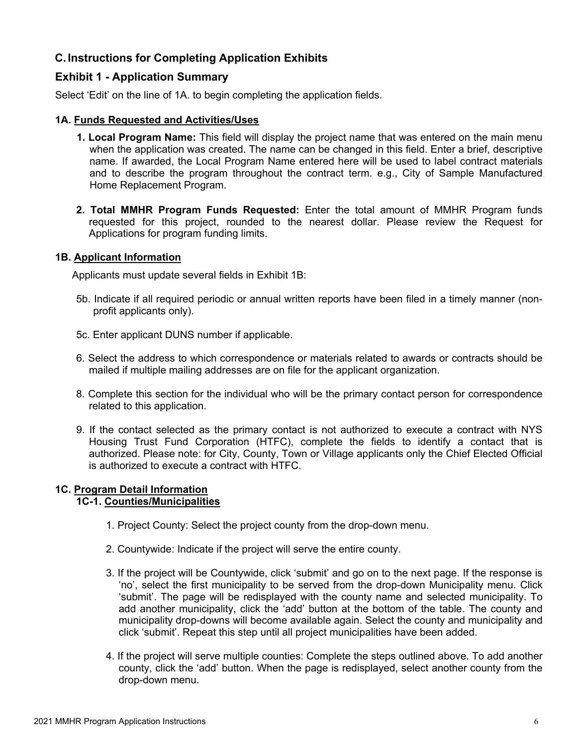### <span id="page-6-0"></span>**C. Instructions for Completing Application Exhibits**

### <span id="page-6-1"></span>**Exhibit 1 - Application Summary**

Select 'Edit' on the line of 1A. to begin completing the application fields.

### **1A. Funds Requested and Activities/Uses**

- **1. Local Program Name:** This field will display the project name that was entered on the main menu when the application was created. The name can be changed in this field. Enter a brief, descriptive name. If awarded, the Local Program Name entered here will be used to label contract materials and to describe the program throughout the contract term. e.g., City of Sample Manufactured Home Replacement Program.
- **2. Total MMHR Program Funds Requested:** Enter the total amount of MMHR Program funds requested for this project, rounded to the nearest dollar. Please review the Request for Applications for program funding limits.

### **1B. Applicant Information**

Applicants must update several fields in Exhibit 1B:

- 5b. Indicate if all required periodic or annual written reports have been filed in a timely manner (nonprofit applicants only).
- 5c. Enter applicant DUNS number if applicable.
- 6. Select the address to which correspondence or materials related to awards or contracts should be mailed if multiple mailing addresses are on file for the applicant organization.
- 8. Complete this section for the individual who will be the primary contact person for correspondence related to this application.
- 9. If the contact selected as the primary contact is not authorized to execute a contract with NYS Housing Trust Fund Corporation (HTFC), complete the fields to identify a contact that is authorized. Please note: for City, County, Town or Village applicants only the Chief Elected Official is authorized to execute a contract with HTFC.

### **1C. Program Detail Information**

### **1C-1. Counties/Municipalities**

- 1. Project County: Select the project county from the drop-down menu.
- 2. Countywide: Indicate if the project will serve the entire county.
- 3. If the project will be Countywide, click 'submit' and go on to the next page. If the response is 'no', select the first municipality to be served from the drop-down Municipality menu. Click 'submit'. The page will be redisplayed with the county name and selected municipality. To add another municipality, click the 'add' button at the bottom of the table. The county and municipality drop-downs will become available again. Select the county and municipality and click 'submit'. Repeat this step until all project municipalities have been added.
- 4. If the project will serve multiple counties: Complete the steps outlined above. To add another county, click the 'add' button. When the page is redisplayed, select another county from the drop-down menu.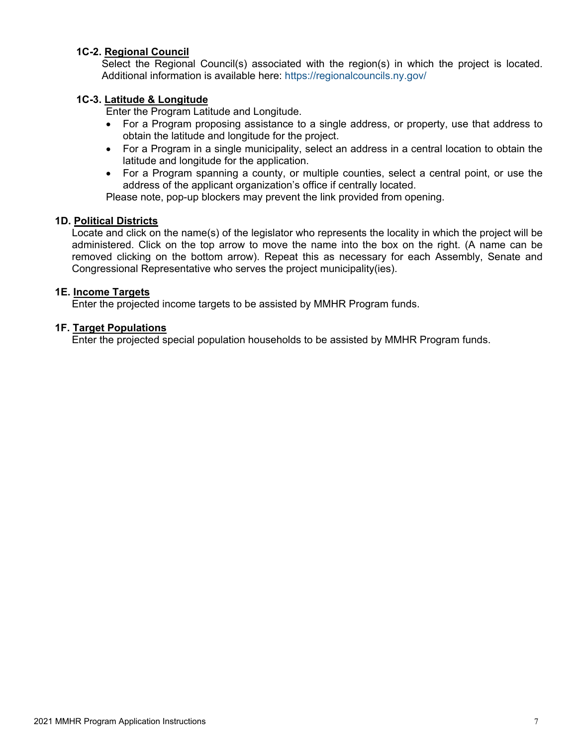### **1C-2. Regional Council**

Select the Regional Council(s) associated with the region(s) in which the project is located. Additional information is available here:<https://regionalcouncils.ny.gov/>

#### **1C-3. Latitude & Longitude**

Enter the Program Latitude and Longitude.

- For a Program proposing assistance to a single address, or property, use that address to obtain the latitude and longitude for the project.
- For a Program in a single municipality, select an address in a central location to obtain the latitude and longitude for the application.
- For a Program spanning a county, or multiple counties, select a central point, or use the address of the applicant organization's office if centrally located.

Please note, pop-up blockers may prevent the link provided from opening.

#### **1D. Political Districts**

Locate and click on the name(s) of the legislator who represents the locality in which the project will be administered. Click on the top arrow to move the name into the box on the right. (A name can be removed clicking on the bottom arrow). Repeat this as necessary for each Assembly, Senate and Congressional Representative who serves the project municipality(ies).

#### **1E. Income Targets**

Enter the projected income targets to be assisted by MMHR Program funds.

#### **1F. Target Populations**

Enter the projected special population households to be assisted by MMHR Program funds.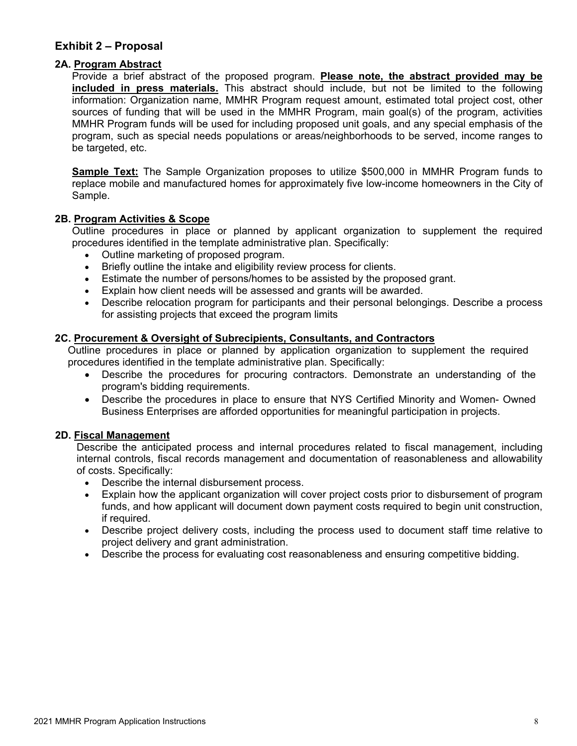### <span id="page-8-0"></span>**Exhibit 2 – Proposal**

### **2A. Program Abstract**

Provide a brief abstract of the proposed program. **Please note, the abstract provided may be included in press materials.** This abstract should include, but not be limited to the following information: Organization name, MMHR Program request amount, estimated total project cost, other sources of funding that will be used in the MMHR Program, main goal(s) of the program, activities MMHR Program funds will be used for including proposed unit goals, and any special emphasis of the program, such as special needs populations or areas/neighborhoods to be served, income ranges to be targeted, etc.

**Sample Text:** The Sample Organization proposes to utilize \$500,000 in MMHR Program funds to replace mobile and manufactured homes for approximately five low-income homeowners in the City of Sample.

#### **2B. Program Activities & Scope**

Outline procedures in place or planned by applicant organization to supplement the required procedures identified in the template administrative plan. Specifically:

- Outline marketing of proposed program.
- Briefly outline the intake and eligibility review process for clients.
- Estimate the number of persons/homes to be assisted by the proposed grant.
- Explain how client needs will be assessed and grants will be awarded.
- Describe relocation program for participants and their personal belongings. Describe a process for assisting projects that exceed the program limits

#### **2C. Procurement & Oversight of Subrecipients, Consultants, and Contractors**

Outline procedures in place or planned by application organization to supplement the required procedures identified in the template administrative plan. Specifically:

- Describe the procedures for procuring contractors. Demonstrate an understanding of the program's bidding requirements.
- Describe the procedures in place to ensure that NYS Certified Minority and Women- Owned Business Enterprises are afforded opportunities for meaningful participation in projects.

#### **2D. Fiscal Management**

Describe the anticipated process and internal procedures related to fiscal management, including internal controls, fiscal records management and documentation of reasonableness and allowability of costs. Specifically:

- Describe the internal disbursement process.
- Explain how the applicant organization will cover project costs prior to disbursement of program funds, and how applicant will document down payment costs required to begin unit construction, if required.
- Describe project delivery costs, including the process used to document staff time relative to project delivery and grant administration.
- Describe the process for evaluating cost reasonableness and ensuring competitive bidding.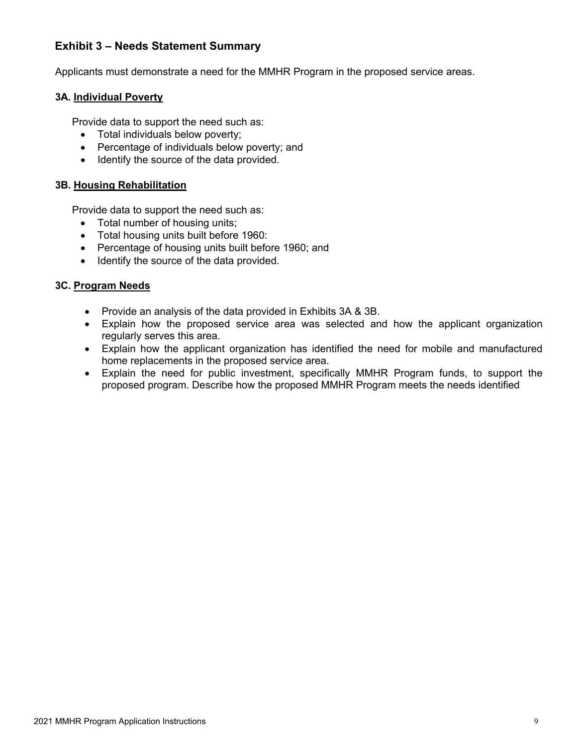### <span id="page-9-0"></span>**Exhibit 3 – Needs Statement Summary**

Applicants must demonstrate a need for the MMHR Program in the proposed service areas.

#### **3A. Individual Poverty**

Provide data to support the need such as:

- Total individuals below poverty;
- Percentage of individuals below poverty; and
- Identify the source of the data provided.

#### **3B. Housing Rehabilitation**

Provide data to support the need such as:

- Total number of housing units;
- Total housing units built before 1960:
- Percentage of housing units built before 1960; and
- Identify the source of the data provided.

#### **3C. Program Needs**

- Provide an analysis of the data provided in Exhibits 3A & 3B.
- Explain how the proposed service area was selected and how the applicant organization regularly serves this area.
- Explain how the applicant organization has identified the need for mobile and manufactured home replacements in the proposed service area.
- Explain the need for public investment, specifically MMHR Program funds, to support the proposed program. Describe how the proposed MMHR Program meets the needs identified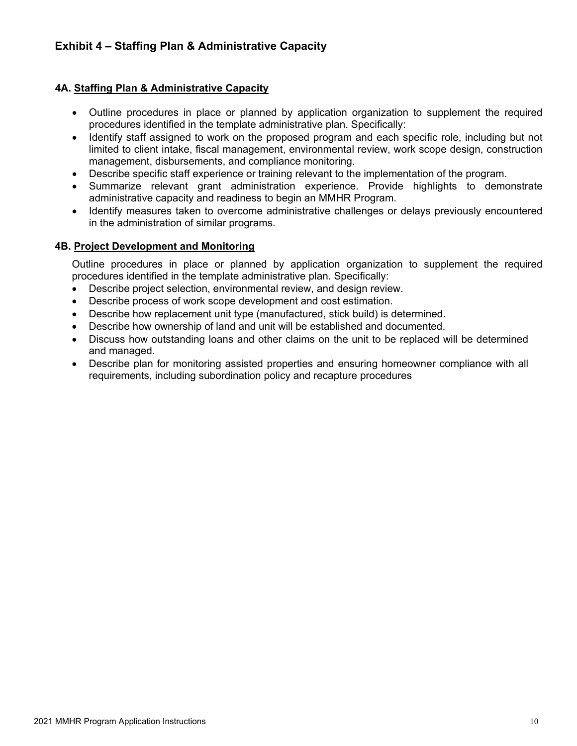### <span id="page-10-0"></span>**4A. Staffing Plan & Administrative Capacity**

- Outline procedures in place or planned by application organization to supplement the required procedures identified in the template administrative plan. Specifically:
- Identify staff assigned to work on the proposed program and each specific role, including but not limited to client intake, fiscal management, environmental review, work scope design, construction management, disbursements, and compliance monitoring.
- Describe specific staff experience or training relevant to the implementation of the program.
- Summarize relevant grant administration experience. Provide highlights to demonstrate administrative capacity and readiness to begin an MMHR Program.
- Identify measures taken to overcome administrative challenges or delays previously encountered in the administration of similar programs.

### **4B. Project Development and Monitoring**

Outline procedures in place or planned by application organization to supplement the required procedures identified in the template administrative plan. Specifically:

- Describe project selection, environmental review, and design review.
- Describe process of work scope development and cost estimation.
- Describe how replacement unit type (manufactured, stick build) is determined.
- Describe how ownership of land and unit will be established and documented.
- Discuss how outstanding loans and other claims on the unit to be replaced will be determined and managed.
- Describe plan for monitoring assisted properties and ensuring homeowner compliance with all requirements, including subordination policy and recapture procedures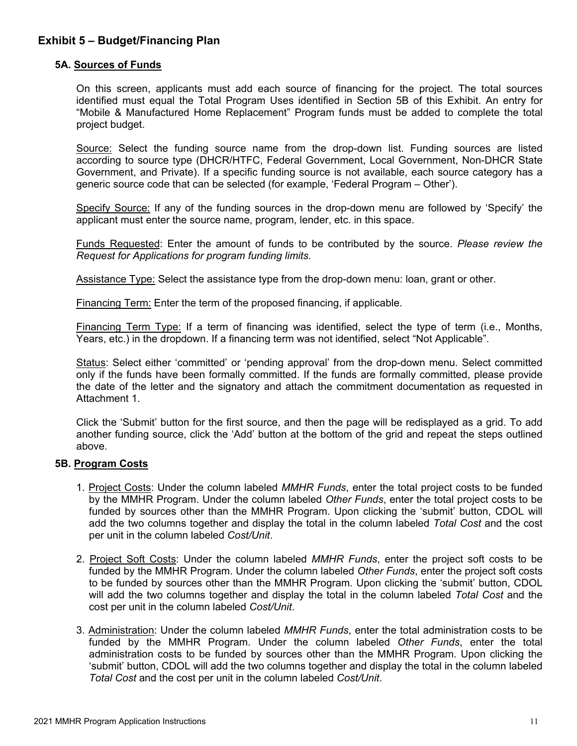### <span id="page-11-0"></span>**Exhibit 5 – Budget/Financing Plan**

### **5A. Sources of Funds**

On this screen, applicants must add each source of financing for the project. The total sources identified must equal the Total Program Uses identified in Section 5B of this Exhibit. An entry for "Mobile & Manufactured Home Replacement" Program funds must be added to complete the total project budget.

Source: Select the funding source name from the drop-down list. Funding sources are listed according to source type (DHCR/HTFC, Federal Government, Local Government, Non-DHCR State Government, and Private). If a specific funding source is not available, each source category has a generic source code that can be selected (for example, 'Federal Program – Other').

Specify Source: If any of the funding sources in the drop-down menu are followed by 'Specify' the applicant must enter the source name, program, lender, etc. in this space.

Funds Requested: Enter the amount of funds to be contributed by the source. *Please review the Request for Applications for program funding limits.*

Assistance Type: Select the assistance type from the drop-down menu: loan, grant or other.

Financing Term: Enter the term of the proposed financing, if applicable.

Financing Term Type: If a term of financing was identified, select the type of term (i.e., Months, Years, etc.) in the dropdown. If a financing term was not identified, select "Not Applicable".

Status: Select either 'committed' or 'pending approval' from the drop-down menu. Select committed only if the funds have been formally committed. If the funds are formally committed, please provide the date of the letter and the signatory and attach the commitment documentation as requested in Attachment 1.

Click the 'Submit' button for the first source, and then the page will be redisplayed as a grid. To add another funding source, click the 'Add' button at the bottom of the grid and repeat the steps outlined above.

### **5B. Program Costs**

- 1. Project Costs: Under the column labeled *MMHR Funds*, enter the total project costs to be funded by the MMHR Program. Under the column labeled *Other Funds*, enter the total project costs to be funded by sources other than the MMHR Program. Upon clicking the 'submit' button, CDOL will add the two columns together and display the total in the column labeled *Total Cost* and the cost per unit in the column labeled *Cost/Unit*.
- 2. Project Soft Costs: Under the column labeled *MMHR Funds*, enter the project soft costs to be funded by the MMHR Program. Under the column labeled *Other Funds*, enter the project soft costs to be funded by sources other than the MMHR Program. Upon clicking the 'submit' button, CDOL will add the two columns together and display the total in the column labeled *Total Cost* and the cost per unit in the column labeled *Cost/Unit*.
- 3. Administration: Under the column labeled *MMHR Funds*, enter the total administration costs to be funded by the MMHR Program. Under the column labeled *Other Funds*, enter the total administration costs to be funded by sources other than the MMHR Program. Upon clicking the 'submit' button, CDOL will add the two columns together and display the total in the column labeled *Total Cost* and the cost per unit in the column labeled *Cost/Unit*.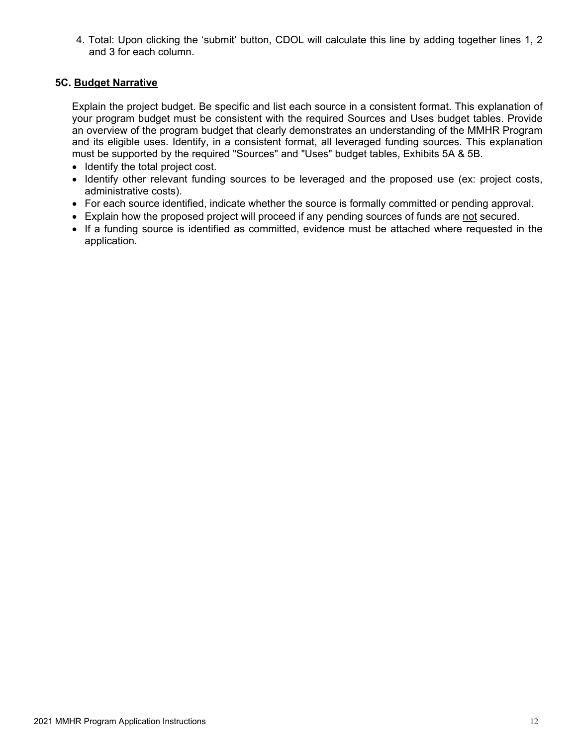4. Total: Upon clicking the 'submit' button, CDOL will calculate this line by adding together lines 1, 2 and 3 for each column.

### **5C. Budget Narrative**

Explain the project budget. Be specific and list each source in a consistent format. This explanation of your program budget must be consistent with the required Sources and Uses budget tables. Provide an overview of the program budget that clearly demonstrates an understanding of the MMHR Program and its eligible uses. Identify, in a consistent format, all leveraged funding sources. This explanation must be supported by the required "Sources" and "Uses" budget tables, Exhibits 5A & 5B.

- Identify the total project cost.
- Identify other relevant funding sources to be leveraged and the proposed use (ex: project costs, administrative costs).
- For each source identified, indicate whether the source is formally committed or pending approval.
- Explain how the proposed project will proceed if any pending sources of funds are not secured.
- If a funding source is identified as committed, evidence must be attached where requested in the application.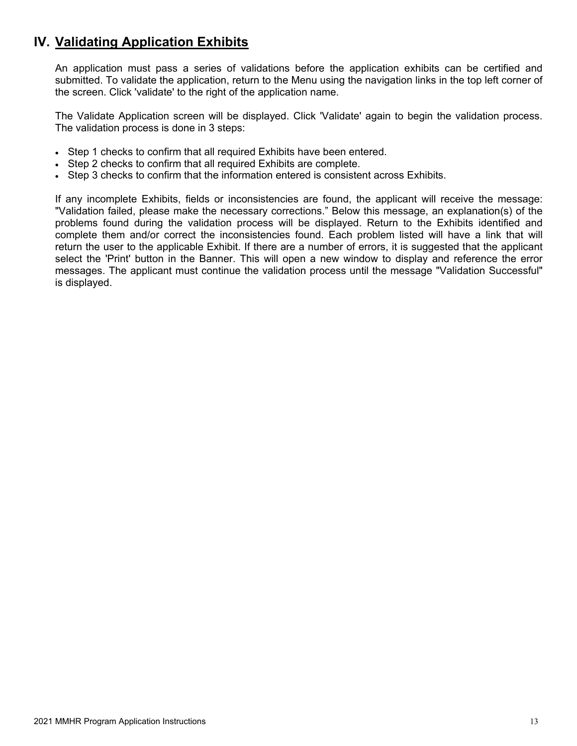### <span id="page-13-0"></span>**IV. Validating Application Exhibits**

An application must pass a series of validations before the application exhibits can be certified and submitted. To validate the application, return to the Menu using the navigation links in the top left corner of the screen. Click 'validate' to the right of the application name.

The Validate Application screen will be displayed. Click 'Validate' again to begin the validation process. The validation process is done in 3 steps:

- Step 1 checks to confirm that all required Exhibits have been entered.
- Step 2 checks to confirm that all required Exhibits are complete.
- Step 3 checks to confirm that the information entered is consistent across Exhibits.

If any incomplete Exhibits, fields or inconsistencies are found, the applicant will receive the message: "Validation failed, please make the necessary corrections." Below this message, an explanation(s) of the problems found during the validation process will be displayed. Return to the Exhibits identified and complete them and/or correct the inconsistencies found. Each problem listed will have a link that will return the user to the applicable Exhibit. If there are a number of errors, it is suggested that the applicant select the 'Print' button in the Banner. This will open a new window to display and reference the error messages. The applicant must continue the validation process until the message "Validation Successful" is displayed.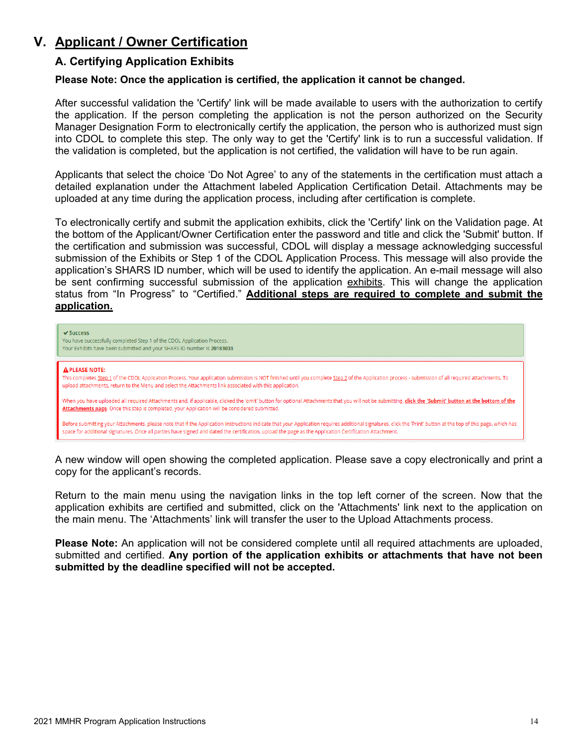### <span id="page-14-1"></span><span id="page-14-0"></span>**V. Applicant / Owner Certification**

### **A. Certifying Application Exhibits**

### **Please Note: Once the application is certified, the application it cannot be changed.**

After successful validation the 'Certify' link will be made available to users with the authorization to certify the application. If the person completing the application is not the person authorized on the Security Manager Designation Form to electronically certify the application, the person who is authorized must sign into CDOL to complete this step. The only way to get the 'Certify' link is to run a successful validation. If the validation is completed, but the application is not certified, the validation will have to be run again.

Applicants that select the choice 'Do Not Agree' to any of the statements in the certification must attach a detailed explanation under the Attachment labeled Application Certification Detail. Attachments may be uploaded at any time during the application process, including after certification is complete.

To electronically certify and submit the application exhibits, click the 'Certify' link on the Validation page. At the bottom of the Applicant/Owner Certification enter the password and title and click the 'Submit' button. If the certification and submission was successful, CDOL will display a message acknowledging successful submission of the Exhibits or Step 1 of the CDOL Application Process. This message will also provide the application's SHARS ID number, which will be used to identify the application. An e-mail message will also be sent confirming successful submission of the application exhibits. This will change the application status from "In Progress" to "Certified." **Additional steps are required to complete and submit the application.**



A new window will open showing the completed application. Please save a copy electronically and print a copy for the applicant's records.

Return to the main menu using the navigation links in the top left corner of the screen. Now that the application exhibits are certified and submitted, click on the 'Attachments' link next to the application on the main menu. The 'Attachments' link will transfer the user to the Upload Attachments process.

**Please Note:** An application will not be considered complete until all required attachments are uploaded, submitted and certified. **Any portion of the application exhibits or attachments that have not been submitted by the deadline specified will not be accepted.**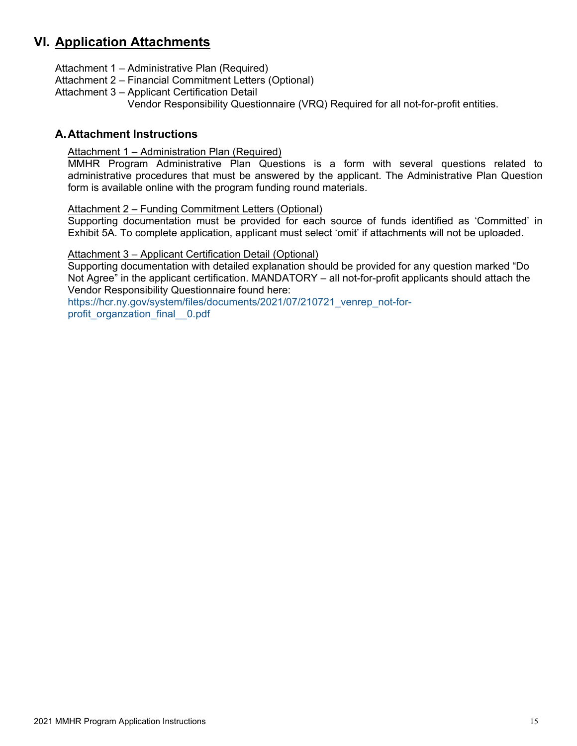### <span id="page-15-0"></span>**VI. Application Attachments**

- Attachment 1 Administrative Plan (Required)
- Attachment 2 Financial Commitment Letters (Optional)
- Attachment 3 Applicant Certification Detail Vendor Responsibility Questionnaire (VRQ) Required for all not-for-profit entities.

### <span id="page-15-2"></span><span id="page-15-1"></span>**A.Attachment Instructions**

### Attachment 1 – Administration Plan (Required)

MMHR Program Administrative Plan Questions is a form with several questions related to administrative procedures that must be answered by the applicant. The Administrative Plan Question form is available online with the program funding round materials.

#### <span id="page-15-3"></span>Attachment 2 – Funding Commitment Letters (Optional)

Supporting documentation must be provided for each source of funds identified as 'Committed' in Exhibit 5A. To complete application, applicant must select 'omit' if attachments will not be uploaded.

### <span id="page-15-4"></span>Attachment 3 – Applicant Certification Detail (Optional)

Supporting documentation with detailed explanation should be provided for any question marked "Do Not Agree" in the applicant certification. MANDATORY – all not-for-profit applicants should attach the Vendor Responsibility Questionnaire found here:

[https://hcr.ny.gov/system/files/documents/2021/07/210721\\_venrep\\_not-for](https://hcr.ny.gov/system/files/documents/2021/07/210721_venrep_not-for-profit_organzation_final__0.pdf)[profit\\_organzation\\_final\\_\\_0.pdf](https://hcr.ny.gov/system/files/documents/2021/07/210721_venrep_not-for-profit_organzation_final__0.pdf)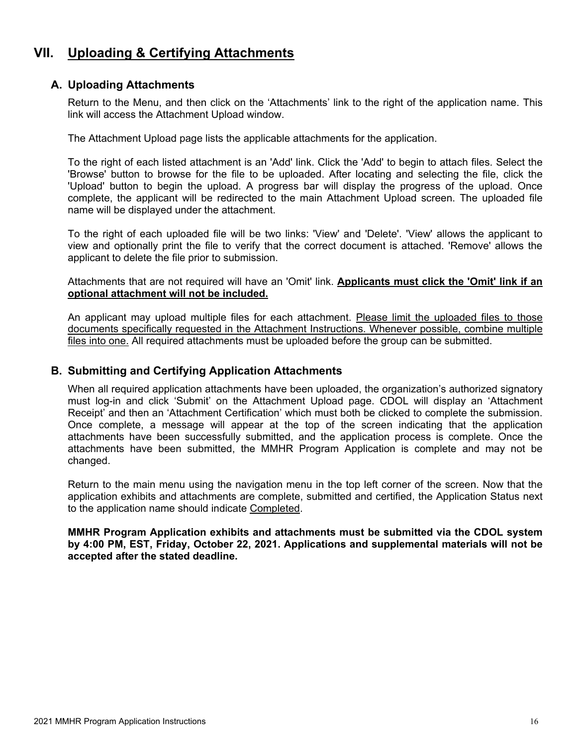### <span id="page-16-0"></span>**VII. Uploading & Certifying Attachments**

### <span id="page-16-1"></span>**A. Uploading Attachments**

Return to the Menu, and then click on the 'Attachments' link to the right of the application name. This link will access the Attachment Upload window.

The Attachment Upload page lists the applicable attachments for the application.

To the right of each listed attachment is an 'Add' link. Click the 'Add' to begin to attach files. Select the 'Browse' button to browse for the file to be uploaded. After locating and selecting the file, click the 'Upload' button to begin the upload. A progress bar will display the progress of the upload. Once complete, the applicant will be redirected to the main Attachment Upload screen. The uploaded file name will be displayed under the attachment.

To the right of each uploaded file will be two links: 'View' and 'Delete'. 'View' allows the applicant to view and optionally print the file to verify that the correct document is attached. 'Remove' allows the applicant to delete the file prior to submission.

Attachments that are not required will have an 'Omit' link. **Applicants must click the 'Omit' link if an optional attachment will not be included.**

An applicant may upload multiple files for each attachment. Please limit the uploaded files to those documents specifically requested in the Attachment Instructions. Whenever possible, combine multiple files into one. All required attachments must be uploaded before the group can be submitted.

### <span id="page-16-2"></span>**B. Submitting and Certifying Application Attachments**

When all required application attachments have been uploaded, the organization's authorized signatory must log-in and click 'Submit' on the Attachment Upload page. CDOL will display an 'Attachment Receipt' and then an 'Attachment Certification' which must both be clicked to complete the submission. Once complete, a message will appear at the top of the screen indicating that the application attachments have been successfully submitted, and the application process is complete. Once the attachments have been submitted, the MMHR Program Application is complete and may not be changed.

Return to the main menu using the navigation menu in the top left corner of the screen. Now that the application exhibits and attachments are complete, submitted and certified, the Application Status next to the application name should indicate Completed.

**MMHR Program Application exhibits and attachments must be submitted via the CDOL system by 4:00 PM, EST, Friday, October 22, 2021. Applications and supplemental materials will not be accepted after the stated deadline.**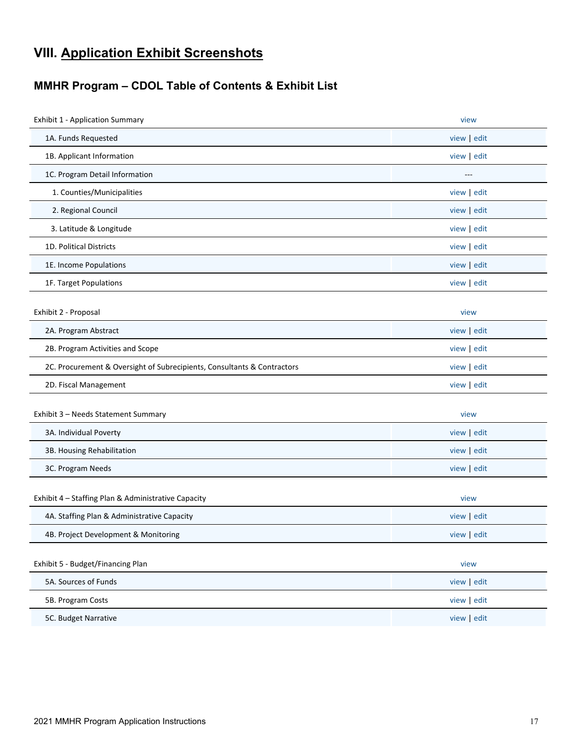### <span id="page-17-0"></span>**VIII. Application Exhibit Screenshots**

### <span id="page-17-1"></span>**MMHR Program – CDOL Table of Contents & Exhibit List**

| <b>Exhibit 1 - Application Summary</b>                                  | view      |
|-------------------------------------------------------------------------|-----------|
| 1A. Funds Requested                                                     | view edit |
| 1B. Applicant Information                                               | view edit |
| 1C. Program Detail Information                                          | $---$     |
| 1. Counties/Municipalities                                              | view edit |
| 2. Regional Council                                                     | view edit |
| 3. Latitude & Longitude                                                 | view edit |
| 1D. Political Districts                                                 | view edit |
| 1E. Income Populations                                                  | view edit |
| 1F. Target Populations                                                  | view edit |
| Exhibit 2 - Proposal                                                    | view      |
| 2A. Program Abstract                                                    | view edit |
| 2B. Program Activities and Scope                                        | view edit |
| 2C. Procurement & Oversight of Subrecipients, Consultants & Contractors | view edit |
| 2D. Fiscal Management                                                   | view edit |
| Exhibit 3 - Needs Statement Summary                                     | view      |
| 3A. Individual Poverty                                                  | view edit |
| 3B. Housing Rehabilitation                                              | view edit |
| 3C. Program Needs                                                       | view edit |
| Exhibit 4 - Staffing Plan & Administrative Capacity                     | view      |
| 4A. Staffing Plan & Administrative Capacity                             | view edit |
| 4B. Project Development & Monitoring                                    | view edit |
| Exhibit 5 - Budget/Financing Plan                                       | view      |
| 5A. Sources of Funds                                                    | view edit |
| 5B. Program Costs                                                       | view edit |
| 5C. Budget Narrative                                                    | view edit |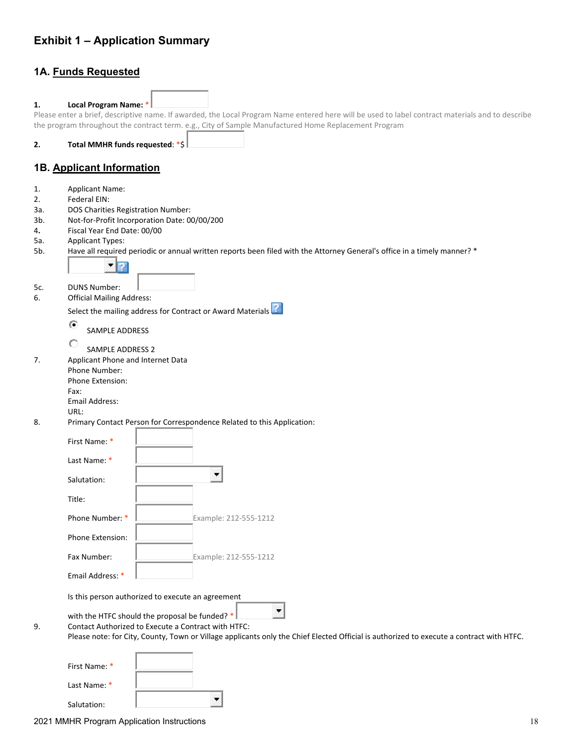### <span id="page-18-0"></span>**Exhibit 1 – Application Summary**

### **1A. Funds Requested**

| 1.  | <b>Local Program Name:</b>         |                                                                                                                                                  |
|-----|------------------------------------|--------------------------------------------------------------------------------------------------------------------------------------------------|
|     |                                    | Please enter a brief, descriptive name. If awarded, the Local Program Name entered here will be used to label contract materials and to describe |
|     |                                    | the program throughout the contract term. e.g., City of Sample Manufactured Home Replacement Program                                             |
|     |                                    |                                                                                                                                                  |
| 2.  | Total MMHR funds requested: *\$    |                                                                                                                                                  |
|     |                                    |                                                                                                                                                  |
|     |                                    |                                                                                                                                                  |
|     | 1B. Applicant Information          |                                                                                                                                                  |
|     |                                    |                                                                                                                                                  |
| 1.  | <b>Applicant Name:</b>             |                                                                                                                                                  |
| 2.  | Federal EIN:                       |                                                                                                                                                  |
| За. | DOS Charities Registration Number: |                                                                                                                                                  |
| 3b. |                                    | Not-for-Profit Incorporation Date: 00/00/200                                                                                                     |
| 4.  | Fiscal Year End Date: 00/00        |                                                                                                                                                  |
| 5а. | <b>Applicant Types:</b>            |                                                                                                                                                  |
|     |                                    |                                                                                                                                                  |
| 5b. |                                    | Have all required periodic or annual written reports been filed with the Attorney General's office in a timely manner? *                         |
|     |                                    |                                                                                                                                                  |
|     |                                    |                                                                                                                                                  |
| 5c. | <b>DUNS Number:</b>                |                                                                                                                                                  |
| 6.  | <b>Official Mailing Address:</b>   |                                                                                                                                                  |
|     |                                    |                                                                                                                                                  |
|     |                                    | Select the mailing address for Contract or Award Materials                                                                                       |
|     | $\circ$                            |                                                                                                                                                  |
|     | SAMPLE ADDRESS                     |                                                                                                                                                  |
|     | О                                  |                                                                                                                                                  |
|     | SAMPLE ADDRESS 2                   |                                                                                                                                                  |
| 7.  | Applicant Phone and Internet Data  |                                                                                                                                                  |
|     | Phone Number:                      |                                                                                                                                                  |
|     | Phone Extension:                   |                                                                                                                                                  |
|     | Fax:                               |                                                                                                                                                  |
|     | Email Address:                     |                                                                                                                                                  |
|     | URL:                               |                                                                                                                                                  |
| 8.  |                                    | Primary Contact Person for Correspondence Related to this Application:                                                                           |
|     |                                    |                                                                                                                                                  |
|     | First Name: *                      |                                                                                                                                                  |
|     |                                    |                                                                                                                                                  |
|     | Last Name: *                       |                                                                                                                                                  |
|     |                                    |                                                                                                                                                  |
|     | Salutation:                        | ٠                                                                                                                                                |
|     |                                    |                                                                                                                                                  |
|     | Title:                             |                                                                                                                                                  |
|     |                                    |                                                                                                                                                  |
|     | Phone Number: *                    | Example: 212-555-1212                                                                                                                            |
|     |                                    |                                                                                                                                                  |
|     | Phone Extension:                   |                                                                                                                                                  |
|     |                                    |                                                                                                                                                  |
|     | Fax Number:                        | Example: 212-555-1212                                                                                                                            |
|     |                                    |                                                                                                                                                  |
|     | Email Address: *                   |                                                                                                                                                  |
|     |                                    |                                                                                                                                                  |
|     |                                    | Is this person authorized to execute an agreement                                                                                                |
|     |                                    |                                                                                                                                                  |
|     |                                    | with the HTFC should the proposal be funded? *                                                                                                   |
| 9.  |                                    | Contact Authorized to Execute a Contract with HTFC:                                                                                              |
|     |                                    | Please note: for City, County, Town or Village applicants only the Chief Elected Official is authorized to execute a contract with HTFC.         |
|     |                                    |                                                                                                                                                  |
|     |                                    |                                                                                                                                                  |
|     |                                    |                                                                                                                                                  |
|     | First Name: *                      |                                                                                                                                                  |
|     | Last Name: *                       |                                                                                                                                                  |
|     |                                    |                                                                                                                                                  |
|     | Salutation:                        |                                                                                                                                                  |

Salutation: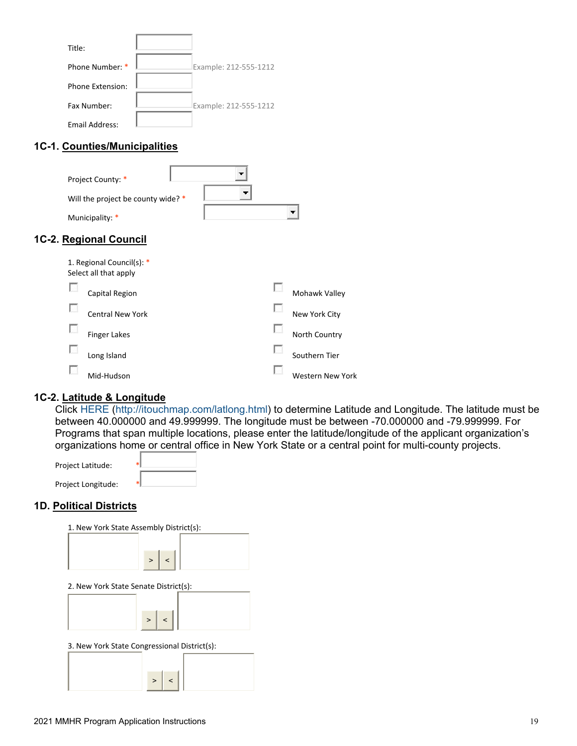| Title:           |                       |
|------------------|-----------------------|
| Phone Number: *  | Example: 212-555-1212 |
| Phone Extension: |                       |
| Fax Number:      | Example: 212-555-1212 |
| Email Address:   |                       |

### **1C-1. Counties/Municipalities**

| Project County: *<br>Will the project be county wide? *<br>Municipality: *                     | т.<br>$\overline{\phantom{a}}$ | т.            |
|------------------------------------------------------------------------------------------------|--------------------------------|---------------|
| 1C-2. Regional Council<br>1. Regional Council(s): *<br>Select all that apply<br>Capital Region |                                | Mohawk Valley |

|    | Capital Region   | Mohawk Valley    |
|----|------------------|------------------|
| L. | Central New York | New York City    |
| L. | Finger Lakes     | North Country    |
| L  | Long Island      | Southern Tier    |
|    | Mid-Hudson       | Western New York |

### **1C-2. Latitude & Longitude**

Click [HERE](http://itouchmap.com/latlong.html) [\(http://itouchmap.com/latlong.html\)](http://itouchmap.com/latlong.html) to determine Latitude and Longitude. The latitude must be between 40.000000 and 49.999999. The longitude must be between -70.000000 and -79.999999. For Programs that span multiple locations, please enter the latitude/longitude of the applicant organization's organizations home or central office in New York State or a central point for multi-county projects.

| Project Latitude:  |  |
|--------------------|--|
| Project Longitude: |  |

### **1D. Political Districts**

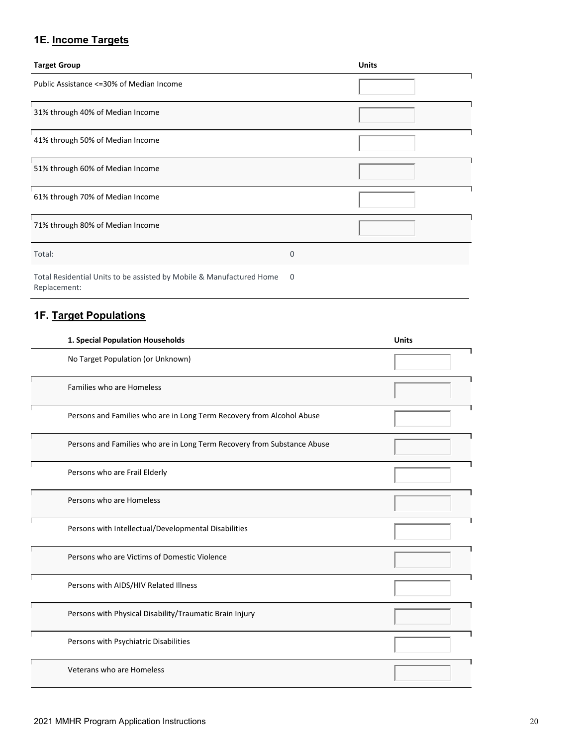### **1E. Income Targets**

| <b>Target Group</b>                                                  |   | <b>Units</b> |
|----------------------------------------------------------------------|---|--------------|
| Public Assistance <= 30% of Median Income                            |   |              |
| 31% through 40% of Median Income                                     |   |              |
| 41% through 50% of Median Income                                     |   |              |
| 51% through 60% of Median Income                                     |   |              |
| 61% through 70% of Median Income                                     |   |              |
| 71% through 80% of Median Income                                     |   |              |
| Total:                                                               | 0 |              |
| Total Residential Units to be assisted by Mobile & Manufactured Home | 0 |              |

**1F. Target Populations**

Replacement:

# **1. Special Population Households Units** No Target Population (or Unknown) Families who are Homeless Persons and Families who are in Long Term Recovery from Alcohol Abuse Persons and Families who are in Long Term Recovery from Substance Abuse Persons who are Frail Elderly Persons who are Homeless Persons with Intellectual/Developmental Disabilities Persons who are Victims of Domestic Violence Persons with AIDS/HIV Related Illness Persons with Physical Disability/Traumatic Brain Injury Persons with Psychiatric Disabilities ٦ Veterans who are Homeless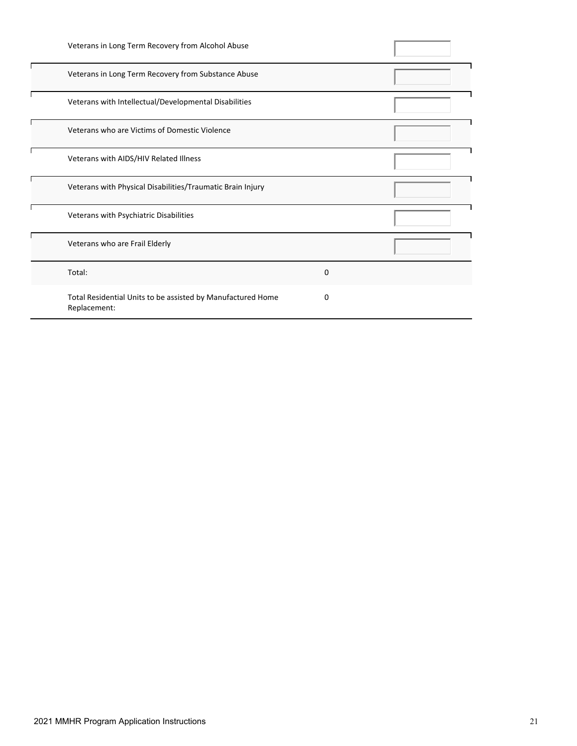|        | Veterans in Long Term Recovery from Alcohol Abuse                           |   |  |
|--------|-----------------------------------------------------------------------------|---|--|
|        | Veterans in Long Term Recovery from Substance Abuse                         |   |  |
|        | Veterans with Intellectual/Developmental Disabilities                       |   |  |
|        | Veterans who are Victims of Domestic Violence                               |   |  |
|        | Veterans with AIDS/HIV Related Illness                                      |   |  |
|        | Veterans with Physical Disabilities/Traumatic Brain Injury                  |   |  |
|        | Veterans with Psychiatric Disabilities                                      |   |  |
|        | Veterans who are Frail Elderly                                              |   |  |
| Total: |                                                                             | 0 |  |
|        | Total Residential Units to be assisted by Manufactured Home<br>Replacement: | 0 |  |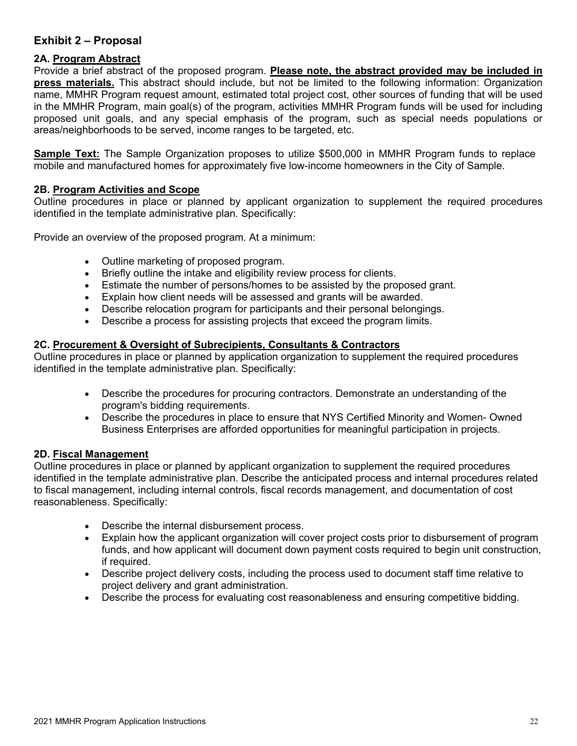### <span id="page-22-0"></span>**Exhibit 2 – Proposal**

### **2A. Program Abstract**

Provide a brief abstract of the proposed program. **Please note, the abstract provided may be included in press materials.** This abstract should include, but not be limited to the following information: Organization name, MMHR Program request amount, estimated total project cost, other sources of funding that will be used in the MMHR Program, main goal(s) of the program, activities MMHR Program funds will be used for including proposed unit goals, and any special emphasis of the program, such as special needs populations or areas/neighborhoods to be served, income ranges to be targeted, etc.

**Sample Text:** The Sample Organization proposes to utilize \$500,000 in MMHR Program funds to replace mobile and manufactured homes for approximately five low-income homeowners in the City of Sample.

### **2B. Program Activities and Scope**

Outline procedures in place or planned by applicant organization to supplement the required procedures identified in the template administrative plan. Specifically:

Provide an overview of the proposed program. At a minimum:

- Outline marketing of proposed program.
- Briefly outline the intake and eligibility review process for clients.
- Estimate the number of persons/homes to be assisted by the proposed grant.
- Explain how client needs will be assessed and grants will be awarded.
- Describe relocation program for participants and their personal belongings.
- Describe a process for assisting projects that exceed the program limits.

#### **2C. Procurement & Oversight of Subrecipients, Consultants & Contractors**

Outline procedures in place or planned by application organization to supplement the required procedures identified in the template administrative plan. Specifically:

- Describe the procedures for procuring contractors. Demonstrate an understanding of the program's bidding requirements.
- Describe the procedures in place to ensure that NYS Certified Minority and Women- Owned Business Enterprises are afforded opportunities for meaningful participation in projects.

### **2D. Fiscal Management**

Outline procedures in place or planned by applicant organization to supplement the required procedures identified in the template administrative plan. Describe the anticipated process and internal procedures related to fiscal management, including internal controls, fiscal records management, and documentation of cost reasonableness. Specifically:

- Describe the internal disbursement process.
- Explain how the applicant organization will cover project costs prior to disbursement of program funds, and how applicant will document down payment costs required to begin unit construction, if required.
- Describe project delivery costs, including the process used to document staff time relative to project delivery and grant administration.
- Describe the process for evaluating cost reasonableness and ensuring competitive bidding.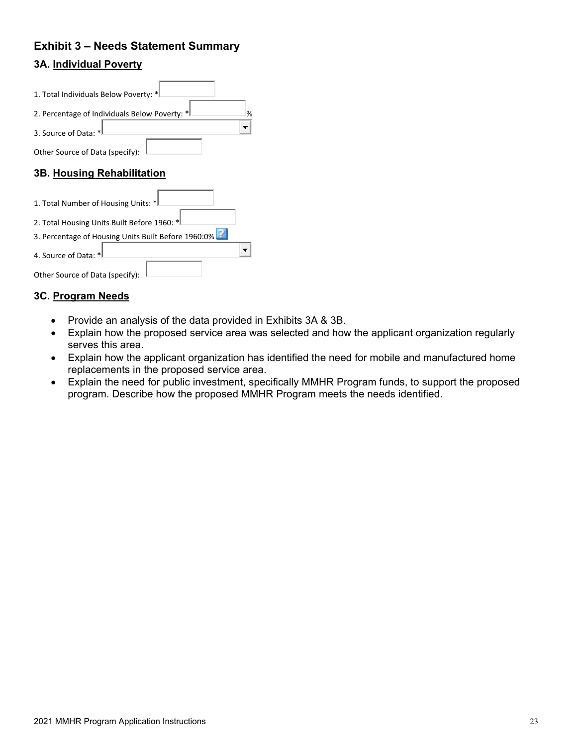### <span id="page-23-0"></span>**Exhibit 3 – Needs Statement Summary 3A. Individual Poverty**

### 1. Total Individuals Below Poverty: \* 2. Percentage of Individuals Below Poverty:  $*$ ÷ 3. Source of Data: \* Other Source of Data (specify): **3B. Housing Rehabilitation** 1. Total Number of Housing Units: \* 2. Total Housing Units Built Before 1960: \* 3. Percentage of Housing Units Built Before 1960:0[%](https://apptest.hcr.ny.gov/CDOnline/LPA/MMHR/Exhibit3B.aspx)  $\blacksquare$ 4. Source of Data: \*

| Other Source of Data (specify): |  |
|---------------------------------|--|

### **3C. Program Needs**

- Provide an analysis of the data provided in Exhibits 3A & 3B.
- Explain how the proposed service area was selected and how the applicant organization regularly serves this area.
- Explain how the applicant organization has identified the need for mobile and manufactured home replacements in the proposed service area.
- Explain the need for public investment, specifically MMHR Program funds, to support the proposed program. Describe how the proposed MMHR Program meets the needs identified.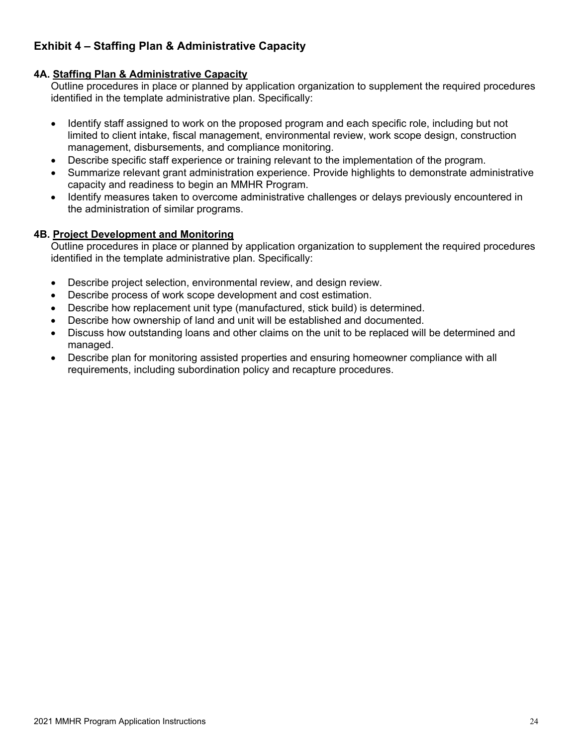### <span id="page-24-0"></span>**Exhibit 4 – Staffing Plan & Administrative Capacity**

### **4A. Staffing Plan & Administrative Capacity**

Outline procedures in place or planned by application organization to supplement the required procedures identified in the template administrative plan. Specifically:

- Identify staff assigned to work on the proposed program and each specific role, including but not limited to client intake, fiscal management, environmental review, work scope design, construction management, disbursements, and compliance monitoring.
- Describe specific staff experience or training relevant to the implementation of the program.
- Summarize relevant grant administration experience. Provide highlights to demonstrate administrative capacity and readiness to begin an MMHR Program.
- Identify measures taken to overcome administrative challenges or delays previously encountered in the administration of similar programs.

### **4B. Project Development and Monitoring**

Outline procedures in place or planned by application organization to supplement the required procedures identified in the template administrative plan. Specifically:

- Describe project selection, environmental review, and design review.
- Describe process of work scope development and cost estimation.
- Describe how replacement unit type (manufactured, stick build) is determined.
- Describe how ownership of land and unit will be established and documented.
- Discuss how outstanding loans and other claims on the unit to be replaced will be determined and managed.
- Describe plan for monitoring assisted properties and ensuring homeowner compliance with all requirements, including subordination policy and recapture procedures.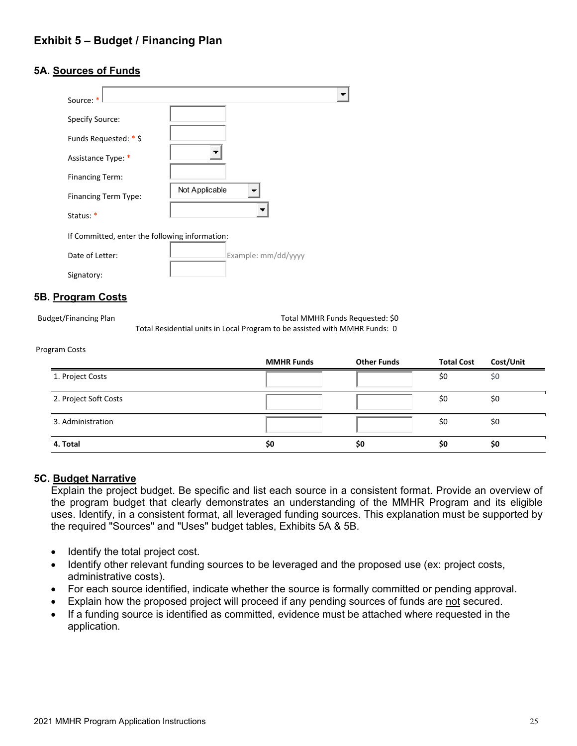### <span id="page-25-0"></span>**5A. Sources of Funds**

| Source: *                                      |                     |  |
|------------------------------------------------|---------------------|--|
| Specify Source:                                |                     |  |
| Funds Requested: * \$                          |                     |  |
| Assistance Type: *                             |                     |  |
| <b>Financing Term:</b>                         |                     |  |
| Financing Term Type:                           | Not Applicable<br>┳ |  |
| Status: *                                      |                     |  |
| If Committed, enter the following information: |                     |  |
| Date of Letter:                                | Example: mm/dd/yyyy |  |
| Signatory:                                     |                     |  |

### **5B. Program Costs**

Budget/Financing Plan Total MMHR Funds Requested: \$0 Total Residential units in Local Program to be assisted with MMHR Funds: 0

#### Program Costs

|                       | <b>MMHR Funds</b> | <b>Other Funds</b> | <b>Total Cost</b> | Cost/Unit |
|-----------------------|-------------------|--------------------|-------------------|-----------|
| 1. Project Costs      |                   |                    | \$0               | \$0       |
| 2. Project Soft Costs |                   |                    | \$0               | \$0       |
| 3. Administration     |                   |                    | \$0               | \$0       |
| 4. Total              | \$0               | \$0                | \$0               | \$0       |

#### **5C. Budget Narrative**

Explain the project budget. Be specific and list each source in a consistent format. Provide an overview of the program budget that clearly demonstrates an understanding of the MMHR Program and its eligible uses. Identify, in a consistent format, all leveraged funding sources. This explanation must be supported by the required "Sources" and "Uses" budget tables, Exhibits 5A & 5B.

- Identify the total project cost.
- Identify other relevant funding sources to be leveraged and the proposed use (ex: project costs, administrative costs).
- For each source identified, indicate whether the source is formally committed or pending approval.
- Explain how the proposed project will proceed if any pending sources of funds are not secured.
- If a funding source is identified as committed, evidence must be attached where requested in the application.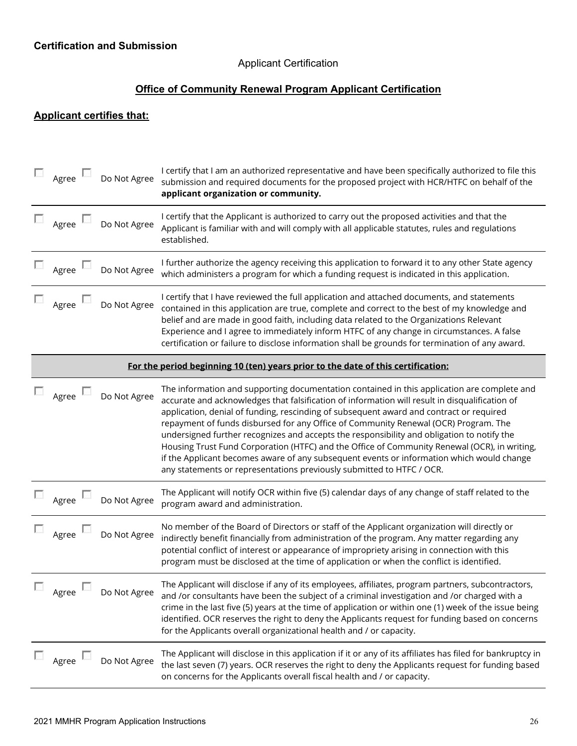### Applicant Certification

### **Office of Community Renewal Program Applicant Certification**

### <span id="page-26-0"></span>**Applicant certifies that:**

|                                                                                  | Agree               | Do Not Agree | I certify that I am an authorized representative and have been specifically authorized to file this<br>submission and required documents for the proposed project with HCR/HTFC on behalf of the<br>applicant organization or community.                                                                                                                                                                                                                                                                                                                                                                                                                                                                                                            |  |  |  |  |
|----------------------------------------------------------------------------------|---------------------|--------------|-----------------------------------------------------------------------------------------------------------------------------------------------------------------------------------------------------------------------------------------------------------------------------------------------------------------------------------------------------------------------------------------------------------------------------------------------------------------------------------------------------------------------------------------------------------------------------------------------------------------------------------------------------------------------------------------------------------------------------------------------------|--|--|--|--|
|                                                                                  | Agree $\Box$        | Do Not Agree | I certify that the Applicant is authorized to carry out the proposed activities and that the<br>Applicant is familiar with and will comply with all applicable statutes, rules and regulations<br>established.                                                                                                                                                                                                                                                                                                                                                                                                                                                                                                                                      |  |  |  |  |
|                                                                                  | Agree               | Do Not Agree | I further authorize the agency receiving this application to forward it to any other State agency<br>which administers a program for which a funding request is indicated in this application.                                                                                                                                                                                                                                                                                                                                                                                                                                                                                                                                                      |  |  |  |  |
|                                                                                  | Agree               | Do Not Agree | I certify that I have reviewed the full application and attached documents, and statements<br>contained in this application are true, complete and correct to the best of my knowledge and<br>belief and are made in good faith, including data related to the Organizations Relevant<br>Experience and I agree to immediately inform HTFC of any change in circumstances. A false<br>certification or failure to disclose information shall be grounds for termination of any award.                                                                                                                                                                                                                                                               |  |  |  |  |
| For the period beginning 10 (ten) years prior to the date of this certification: |                     |              |                                                                                                                                                                                                                                                                                                                                                                                                                                                                                                                                                                                                                                                                                                                                                     |  |  |  |  |
|                                                                                  | Agree               | Do Not Agree | The information and supporting documentation contained in this application are complete and<br>accurate and acknowledges that falsification of information will result in disqualification of<br>application, denial of funding, rescinding of subsequent award and contract or required<br>repayment of funds disbursed for any Office of Community Renewal (OCR) Program. The<br>undersigned further recognizes and accepts the responsibility and obligation to notify the<br>Housing Trust Fund Corporation (HTFC) and the Office of Community Renewal (OCR), in writing,<br>if the Applicant becomes aware of any subsequent events or information which would change<br>any statements or representations previously submitted to HTFC / OCR. |  |  |  |  |
|                                                                                  | $\Box$ Agree $\Box$ | Do Not Agree | The Applicant will notify OCR within five (5) calendar days of any change of staff related to the<br>program award and administration.                                                                                                                                                                                                                                                                                                                                                                                                                                                                                                                                                                                                              |  |  |  |  |
|                                                                                  | Agree               | Do Not Agree | No member of the Board of Directors or staff of the Applicant organization will directly or<br>indirectly benefit financially from administration of the program. Any matter regarding any<br>potential conflict of interest or appearance of impropriety arising in connection with this<br>program must be disclosed at the time of application or when the conflict is identified.                                                                                                                                                                                                                                                                                                                                                               |  |  |  |  |
|                                                                                  | Agree               | Do Not Agree | The Applicant will disclose if any of its employees, affiliates, program partners, subcontractors,<br>and /or consultants have been the subject of a criminal investigation and /or charged with a<br>crime in the last five (5) years at the time of application or within one (1) week of the issue being<br>identified. OCR reserves the right to deny the Applicants request for funding based on concerns<br>for the Applicants overall organizational health and / or capacity.                                                                                                                                                                                                                                                               |  |  |  |  |
|                                                                                  | Agree L             | Do Not Agree | The Applicant will disclose in this application if it or any of its affiliates has filed for bankruptcy in<br>the last seven (7) years. OCR reserves the right to deny the Applicants request for funding based<br>on concerns for the Applicants overall fiscal health and / or capacity.                                                                                                                                                                                                                                                                                                                                                                                                                                                          |  |  |  |  |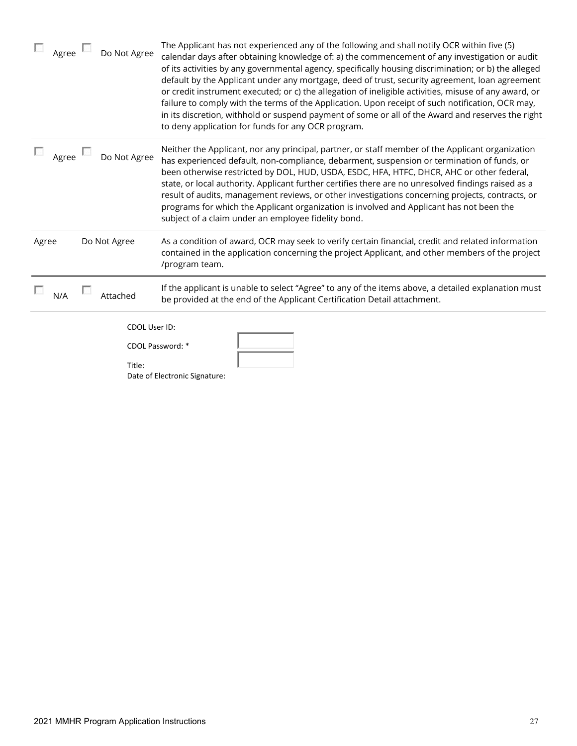| $\Box$ Agree        | Do Not Agree            | The Applicant has not experienced any of the following and shall notify OCR within five (5)<br>calendar days after obtaining knowledge of: a) the commencement of any investigation or audit<br>of its activities by any governmental agency, specifically housing discrimination; or b) the alleged<br>default by the Applicant under any mortgage, deed of trust, security agreement, loan agreement<br>or credit instrument executed; or c) the allegation of ineligible activities, misuse of any award, or<br>failure to comply with the terms of the Application. Upon receipt of such notification, OCR may,<br>in its discretion, withhold or suspend payment of some or all of the Award and reserves the right<br>to deny application for funds for any OCR program. |
|---------------------|-------------------------|--------------------------------------------------------------------------------------------------------------------------------------------------------------------------------------------------------------------------------------------------------------------------------------------------------------------------------------------------------------------------------------------------------------------------------------------------------------------------------------------------------------------------------------------------------------------------------------------------------------------------------------------------------------------------------------------------------------------------------------------------------------------------------|
| $\Box$ Agree $\Box$ | Do Not Agree            | Neither the Applicant, nor any principal, partner, or staff member of the Applicant organization<br>has experienced default, non-compliance, debarment, suspension or termination of funds, or<br>been otherwise restricted by DOL, HUD, USDA, ESDC, HFA, HTFC, DHCR, AHC or other federal,<br>state, or local authority. Applicant further certifies there are no unresolved findings raised as a<br>result of audits, management reviews, or other investigations concerning projects, contracts, or<br>programs for which the Applicant organization is involved and Applicant has not been the<br>subject of a claim under an employee fidelity bond.                                                                                                                      |
| Agree               | Do Not Agree            | As a condition of award, OCR may seek to verify certain financial, credit and related information<br>contained in the application concerning the project Applicant, and other members of the project<br>/program team.                                                                                                                                                                                                                                                                                                                                                                                                                                                                                                                                                         |
| N/A                 | Attached                | If the applicant is unable to select "Agree" to any of the items above, a detailed explanation must<br>be provided at the end of the Applicant Certification Detail attachment.                                                                                                                                                                                                                                                                                                                                                                                                                                                                                                                                                                                                |
|                     | CDOL User ID:<br>Title: | CDOL Password: *<br>Date of Electronic Signature:                                                                                                                                                                                                                                                                                                                                                                                                                                                                                                                                                                                                                                                                                                                              |